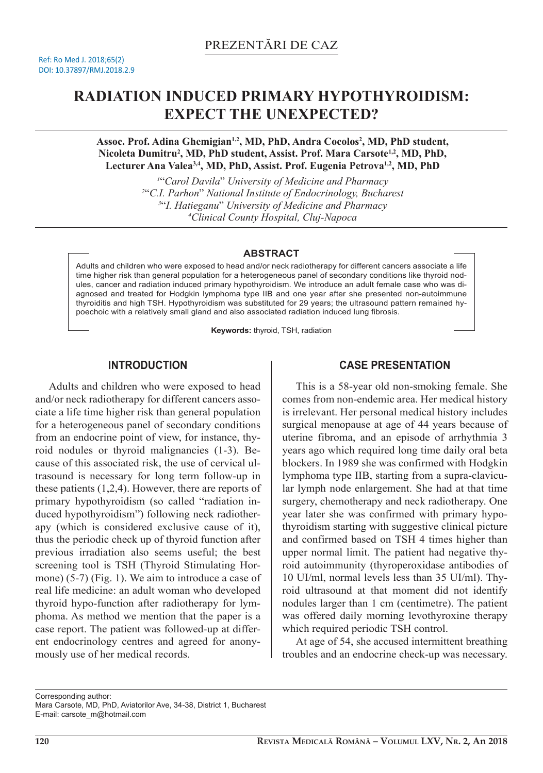# **RADIATION INDUCED PRIMARY HYPOTHYROIDISM: EXPECT THE UNEXPECTED?**

**Assoc. Prof. Adina Ghemigian1,2, MD, PhD, Andra Cocolos<sup>2</sup> , MD, PhD student, Nicoleta Dumitru<sup>2</sup> , MD, PhD student, Assist. Prof. Mara Carsote1,2, MD, PhD, Lecturer Ana Valea3,4, MD, PhD, Assist. Prof. Eugenia Petrova1,2, MD, PhD**

> "*Carol Davila*" *University of Medicine and Pharmacy*  "*C.I. Parhon*" *National Institute of Endocrinology, Bucharest* "*I. Hatieganu*" *University of Medicine and Pharmacy Clinical County Hospital, Cluj-Napoca*

## **ABSTRACT**

Adults and children who were exposed to head and/or neck radiotherapy for different cancers associate a life time higher risk than general population for a heterogeneous panel of secondary conditions like thyroid nodules, cancer and radiation induced primary hypothyroidism. We introduce an adult female case who was diagnosed and treated for Hodgkin lymphoma type IIB and one year after she presented non-autoimmune thyroiditis and high TSH. Hypothyroidism was substituted for 29 years; the ultrasound pattern remained hypoechoic with a relatively small gland and also associated radiation induced lung fibrosis.

**Keywords:** thyroid, TSH, radiation

# **INTRODUCTION**

Adults and children who were exposed to head and/or neck radiotherapy for different cancers associate a life time higher risk than general population for a heterogeneous panel of secondary conditions from an endocrine point of view, for instance, thyroid nodules or thyroid malignancies (1-3). Because of this associated risk, the use of cervical ultrasound is necessary for long term follow-up in these patients (1,2,4). However, there are reports of primary hypothyroidism (so called "radiation induced hypothyroidism") following neck radiotherapy (which is considered exclusive cause of it), thus the periodic check up of thyroid function after previous irradiation also seems useful; the best screening tool is TSH (Thyroid Stimulating Hormone) (5-7) (Fig. 1). We aim to introduce a case of real life medicine: an adult woman who developed thyroid hypo-function after radiotherapy for lymphoma. As method we mention that the paper is a case report. The patient was followed-up at different endocrinology centres and agreed for anonymously use of her medical records.

# **CASE PRESENTATION**

This is a 58-year old non-smoking female. She comes from non-endemic area. Her medical history is irrelevant. Her personal medical history includes surgical menopause at age of 44 years because of uterine fibroma, and an episode of arrhythmia 3 years ago which required long time daily oral beta blockers. In 1989 she was confirmed with Hodgkin lymphoma type IIB, starting from a supra-clavicular lymph node enlargement. She had at that time surgery, chemotherapy and neck radiotherapy. One year later she was confirmed with primary hypothyroidism starting with suggestive clinical picture and confirmed based on TSH 4 times higher than upper normal limit. The patient had negative thyroid autoimmunity (thyroperoxidase antibodies of 10 UI/ml, normal levels less than 35 UI/ml). Thyroid ultrasound at that moment did not identify nodules larger than 1 cm (centimetre). The patient was offered daily morning levothyroxine therapy which required periodic TSH control.

At age of 54, she accused intermittent breathing troubles and an endocrine check-up was necessary.

Corresponding author:

Mara Carsote, MD, PhD, Aviatorilor Ave, 34-38, District 1, Bucharest E-mail: carsote\_m@hotmail.com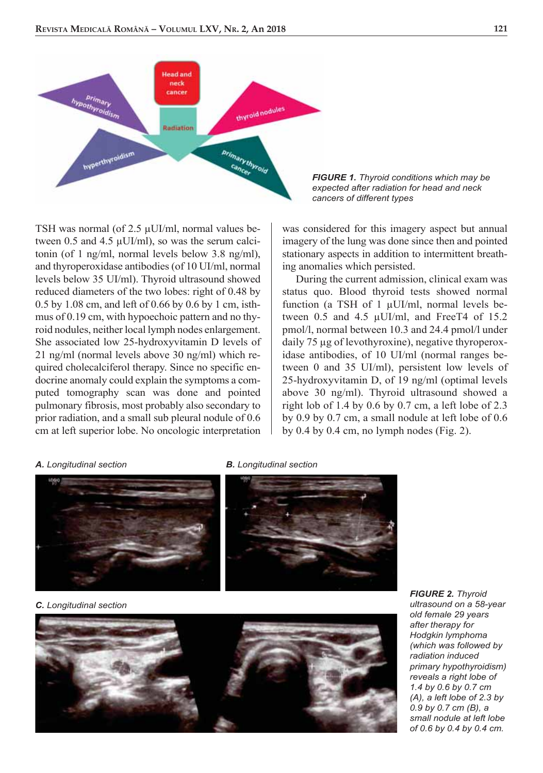

TSH was normal (of 2.5 μUI/ml, normal values between 0.5 and 4.5 μUI/ml), so was the serum calcitonin (of 1 ng/ml, normal levels below 3.8 ng/ml), and thyroperoxidase antibodies (of 10 UI/ml, normal levels below 35 UI/ml). Thyroid ultrasound showed reduced diameters of the two lobes: right of 0.48 by 0.5 by 1.08 cm, and left of 0.66 by 0.6 by 1 cm, isthmus of 0.19 cm, with hypoechoic pattern and no thyroid nodules, neither local lymph nodes enlargement. She associated low 25-hydroxyvitamin D levels of 21 ng/ml (normal levels above 30 ng/ml) which required cholecalciferol therapy. Since no specific endocrine anomaly could explain the symptoms a computed tomography scan was done and pointed pulmonary fibrosis, most probably also secondary to prior radiation, and a small sub pleural nodule of 0.6 cm at left superior lobe. No oncologic interpretation

#### *FIGURE 1. Thyroid conditions which may be expected after radiation for head and neck cancers of different types*

was considered for this imagery aspect but annual imagery of the lung was done since then and pointed stationary aspects in addition to intermittent breathing anomalies which persisted.

During the current admission, clinical exam was status quo. Blood thyroid tests showed normal function (a TSH of 1 μUI/ml, normal levels between 0.5 and 4.5 μUI/ml, and FreeT4 of 15.2 pmol/l, normal between 10.3 and 24.4 pmol/l under daily 75 μg of levothyroxine), negative thyroperoxidase antibodies, of 10 UI/ml (normal ranges between 0 and 35 UI/ml), persistent low levels of 25-hydroxyvitamin D, of 19 ng/ml (optimal levels above 30 ng/ml). Thyroid ultrasound showed a right lob of 1.4 by 0.6 by 0.7 cm, a left lobe of  $2.3$ by 0.9 by 0.7 cm, a small nodule at left lobe of 0.6 by 0.4 by 0.4 cm, no lymph nodes (Fig. 2).

#### *A. Longitudinal section B. Longitudinal section*



*C. Longitudinal section*



*FIGURE 2. Thyroid ultrasound on a 58-year old female 29 years after therapy for Hodgkin lymphoma (which was followed by radiation induced primary hypothyroidism) reveals a right lobe of 1.4 by 0.6 by 0.7 cm (A), a left lobe of 2.3 by 0.9 by 0.7 cm (B), a small nodule at left lobe of 0.6 by 0.4 by 0.4 cm.*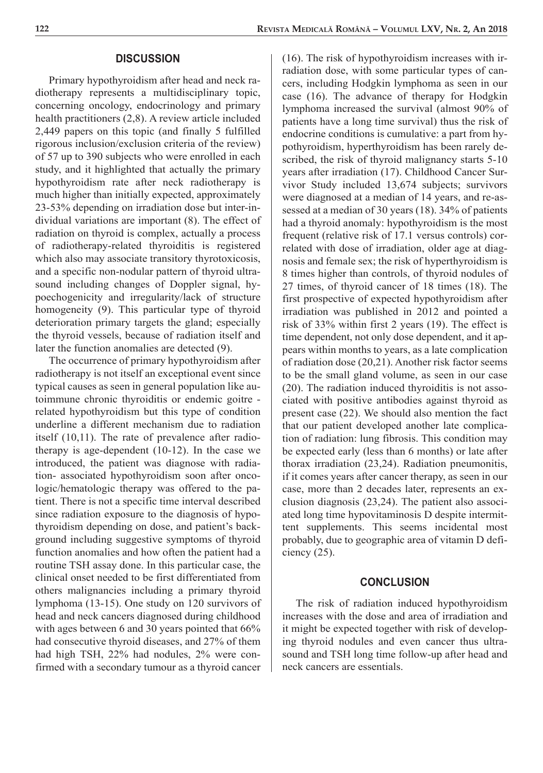## **DISCUSSION**

Primary hypothyroidism after head and neck radiotherapy represents a multidisciplinary topic, concerning oncology, endocrinology and primary health practitioners (2,8). A review article included 2,449 papers on this topic (and finally 5 fulfilled rigorous inclusion/exclusion criteria of the review) of 57 up to 390 subjects who were enrolled in each study, and it highlighted that actually the primary hypothyroidism rate after neck radiotherapy is much higher than initially expected, approximately 23-53% depending on irradiation dose but inter-individual variations are important (8). The effect of radiation on thyroid is complex, actually a process of radiotherapy-related thyroiditis is registered which also may associate transitory thyrotoxicosis, and a specific non-nodular pattern of thyroid ultrasound including changes of Doppler signal, hypoechogenicity and irregularity/lack of structure homogeneity (9). This particular type of thyroid deterioration primary targets the gland; especially the thyroid vessels, because of radiation itself and later the function anomalies are detected (9).

The occurrence of primary hypothyroidism after radiotherapy is not itself an exceptional event since typical causes as seen in general population like autoimmune chronic thyroiditis or endemic goitre related hypothyroidism but this type of condition underline a different mechanism due to radiation itself (10,11). The rate of prevalence after radiotherapy is age-dependent (10-12). In the case we introduced, the patient was diagnose with radiation- associated hypothyroidism soon after oncologic/hematologic therapy was offered to the patient. There is not a specific time interval described since radiation exposure to the diagnosis of hypothyroidism depending on dose, and patient's background including suggestive symptoms of thyroid function anomalies and how often the patient had a routine TSH assay done. In this particular case, the clinical onset needed to be first differentiated from others malignancies including a primary thyroid lymphoma (13-15). One study on 120 survivors of head and neck cancers diagnosed during childhood with ages between 6 and 30 years pointed that  $66\%$ had consecutive thyroid diseases, and 27% of them had high TSH, 22% had nodules, 2% were confirmed with a secondary tumour as a thyroid cancer

(16). The risk of hypothyroidism increases with irradiation dose, with some particular types of cancers, including Hodgkin lymphoma as seen in our case (16). The advance of therapy for Hodgkin lymphoma increased the survival (almost 90% of patients have a long time survival) thus the risk of endocrine conditions is cumulative: a part from hypothyroidism, hyperthyroidism has been rarely described, the risk of thyroid malignancy starts 5-10 years after irradiation (17). Childhood Cancer Survivor Study included 13,674 subjects; survivors were diagnosed at a median of 14 years, and re-assessed at a median of 30 years (18). 34% of patients had a thyroid anomaly: hypothyroidism is the most frequent (relative risk of 17.1 versus controls) correlated with dose of irradiation, older age at diagnosis and female sex; the risk of hyperthyroidism is 8 times higher than controls, of thyroid nodules of 27 times, of thyroid cancer of 18 times (18). The first prospective of expected hypothyroidism after irradiation was published in 2012 and pointed a risk of 33% within first 2 years (19). The effect is time dependent, not only dose dependent, and it appears within months to years, as a late complication of radiation dose (20,21). Another risk factor seems to be the small gland volume, as seen in our case (20). The radiation induced thyroiditis is not associated with positive antibodies against thyroid as present case (22). We should also mention the fact that our patient developed another late complication of radiation: lung fibrosis. This condition may be expected early (less than 6 months) or late after thorax irradiation (23,24). Radiation pneumonitis, if it comes years after cancer therapy, as seen in our case, more than 2 decades later, represents an exclusion diagnosis (23,24). The patient also associated long time hypovitaminosis D despite intermittent supplements. This seems incidental most probably, due to geographic area of vitamin D deficiency (25).

# **CONCLUSION**

The risk of radiation induced hypothyroidism increases with the dose and area of irradiation and it might be expected together with risk of developing thyroid nodules and even cancer thus ultrasound and TSH long time follow-up after head and neck cancers are essentials.